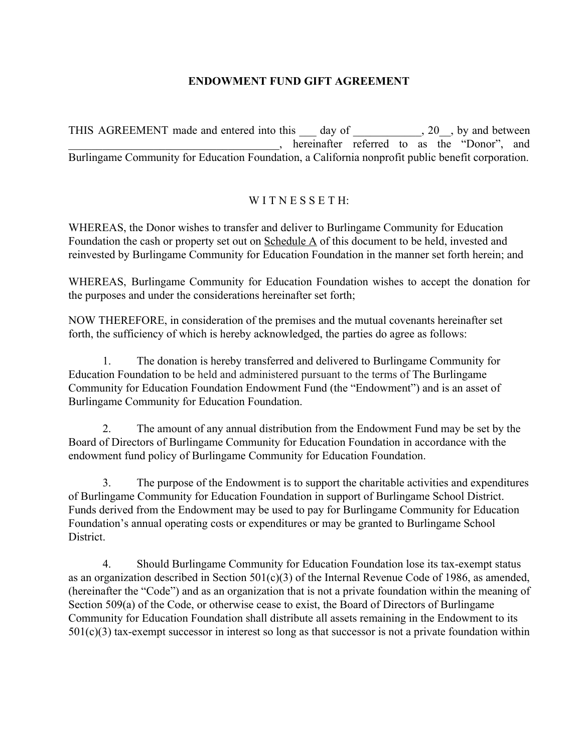## **ENDOWMENT FUND GIFT AGREEMENT**

THIS AGREEMENT made and entered into this 100 day of 20, by and between  $\overline{a}$ , hereinafter referred to as the "Donor", and Burlingame Community for Education Foundation, a California nonprofit public benefit corporation.

## W I T N E S S E T H<sup>-</sup>

WHEREAS, the Donor wishes to transfer and deliver to Burlingame Community for Education Foundation the cash or property set out on Schedule A of this document to be held, invested and reinvested by Burlingame Community for Education Foundation in the manner set forth herein; and

WHEREAS, Burlingame Community for Education Foundation wishes to accept the donation for the purposes and under the considerations hereinafter set forth;

NOW THEREFORE, in consideration of the premises and the mutual covenants hereinafter set forth, the sufficiency of which is hereby acknowledged, the parties do agree as follows:

1. The donation is hereby transferred and delivered to Burlingame Community for Education Foundation to be held and administered pursuant to the terms of The Burlingame Community for Education Foundation Endowment Fund (the "Endowment") and is an asset of Burlingame Community for Education Foundation.

2. The amount of any annual distribution from the Endowment Fund may be set by the Board of Directors of Burlingame Community for Education Foundation in accordance with the endowment fund policy of Burlingame Community for Education Foundation.

3. The purpose of the Endowment is to support the charitable activities and expenditures of Burlingame Community for Education Foundation in support of Burlingame School District. Funds derived from the Endowment may be used to pay for Burlingame Community for Education Foundation's annual operating costs or expenditures or may be granted to Burlingame School **District** 

4. Should Burlingame Community for Education Foundation lose its tax-exempt status as an organization described in Section 501(c)(3) of the Internal Revenue Code of 1986, as amended, (hereinafter the "Code") and as an organization that is not a private foundation within the meaning of Section 509(a) of the Code, or otherwise cease to exist, the Board of Directors of Burlingame Community for Education Foundation shall distribute all assets remaining in the Endowment to its  $501(c)(3)$  tax-exempt successor in interest so long as that successor is not a private foundation within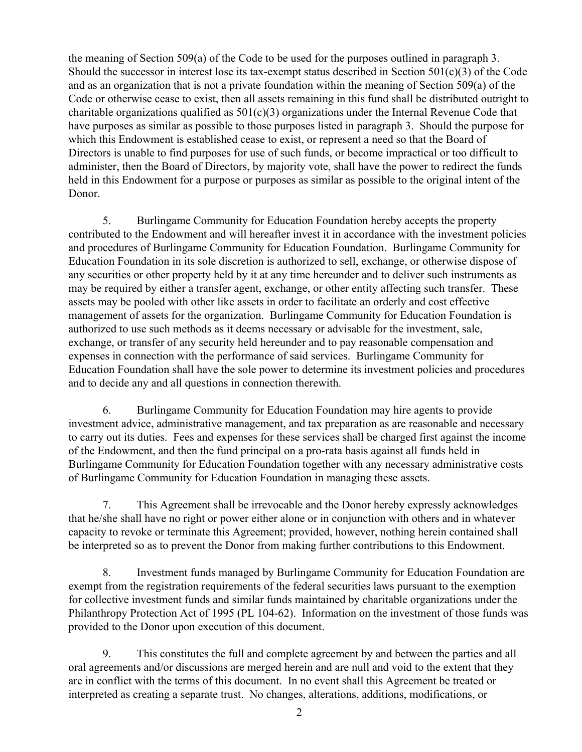the meaning of Section 509(a) of the Code to be used for the purposes outlined in paragraph 3. Should the successor in interest lose its tax-exempt status described in Section 501(c)(3) of the Code and as an organization that is not a private foundation within the meaning of Section 509(a) of the Code or otherwise cease to exist, then all assets remaining in this fund shall be distributed outright to charitable organizations qualified as  $501(c)(3)$  organizations under the Internal Revenue Code that have purposes as similar as possible to those purposes listed in paragraph 3. Should the purpose for which this Endowment is established cease to exist, or represent a need so that the Board of Directors is unable to find purposes for use of such funds, or become impractical or too difficult to administer, then the Board of Directors, by majority vote, shall have the power to redirect the funds held in this Endowment for a purpose or purposes as similar as possible to the original intent of the Donor.

5. Burlingame Community for Education Foundation hereby accepts the property contributed to the Endowment and will hereafter invest it in accordance with the investment policies and procedures of Burlingame Community for Education Foundation. Burlingame Community for Education Foundation in its sole discretion is authorized to sell, exchange, or otherwise dispose of any securities or other property held by it at any time hereunder and to deliver such instruments as may be required by either a transfer agent, exchange, or other entity affecting such transfer. These assets may be pooled with other like assets in order to facilitate an orderly and cost effective management of assets for the organization. Burlingame Community for Education Foundation is authorized to use such methods as it deems necessary or advisable for the investment, sale, exchange, or transfer of any security held hereunder and to pay reasonable compensation and expenses in connection with the performance of said services. Burlingame Community for Education Foundation shall have the sole power to determine its investment policies and procedures and to decide any and all questions in connection therewith.

6. Burlingame Community for Education Foundation may hire agents to provide investment advice, administrative management, and tax preparation as are reasonable and necessary to carry out its duties. Fees and expenses for these services shall be charged first against the income of the Endowment, and then the fund principal on a pro-rata basis against all funds held in Burlingame Community for Education Foundation together with any necessary administrative costs of Burlingame Community for Education Foundation in managing these assets.

7. This Agreement shall be irrevocable and the Donor hereby expressly acknowledges that he/she shall have no right or power either alone or in conjunction with others and in whatever capacity to revoke or terminate this Agreement; provided, however, nothing herein contained shall be interpreted so as to prevent the Donor from making further contributions to this Endowment.

8. Investment funds managed by Burlingame Community for Education Foundation are exempt from the registration requirements of the federal securities laws pursuant to the exemption for collective investment funds and similar funds maintained by charitable organizations under the Philanthropy Protection Act of 1995 (PL 104-62). Information on the investment of those funds was provided to the Donor upon execution of this document.

9. This constitutes the full and complete agreement by and between the parties and all oral agreements and/or discussions are merged herein and are null and void to the extent that they are in conflict with the terms of this document. In no event shall this Agreement be treated or interpreted as creating a separate trust. No changes, alterations, additions, modifications, or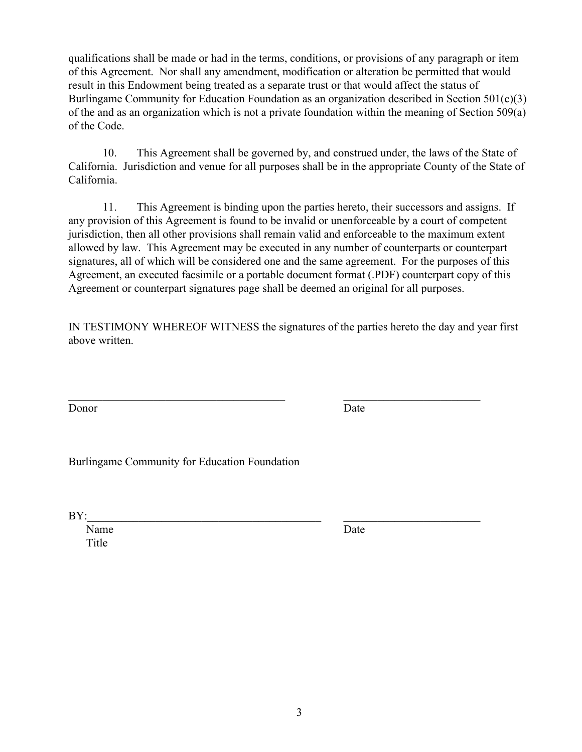qualifications shall be made or had in the terms, conditions, or provisions of any paragraph or item of this Agreement. Nor shall any amendment, modification or alteration be permitted that would result in this Endowment being treated as a separate trust or that would affect the status of Burlingame Community for Education Foundation as an organization described in Section 501(c)(3) of the and as an organization which is not a private foundation within the meaning of Section 509(a) of the Code.

10. This Agreement shall be governed by, and construed under, the laws of the State of California. Jurisdiction and venue for all purposes shall be in the appropriate County of the State of California.

11. This Agreement is binding upon the parties hereto, their successors and assigns. If any provision of this Agreement is found to be invalid or unenforceable by a court of competent jurisdiction, then all other provisions shall remain valid and enforceable to the maximum extent allowed by law. This Agreement may be executed in any number of counterparts or counterpart signatures, all of which will be considered one and the same agreement. For the purposes of this Agreement, an executed facsimile or a portable document format (.PDF) counterpart copy of this Agreement or counterpart signatures page shall be deemed an original for all purposes.

IN TESTIMONY WHEREOF WITNESS the signatures of the parties hereto the day and year first above written.

 $\mathcal{L}_\text{max}$  , and the contribution of the contribution of the contribution of the contribution of the contribution of the contribution of the contribution of the contribution of the contribution of the contribution of t

Donor Date Date

Burlingame Community for Education Foundation

 $\text{BY:}\qquad$ 

Name Date Title